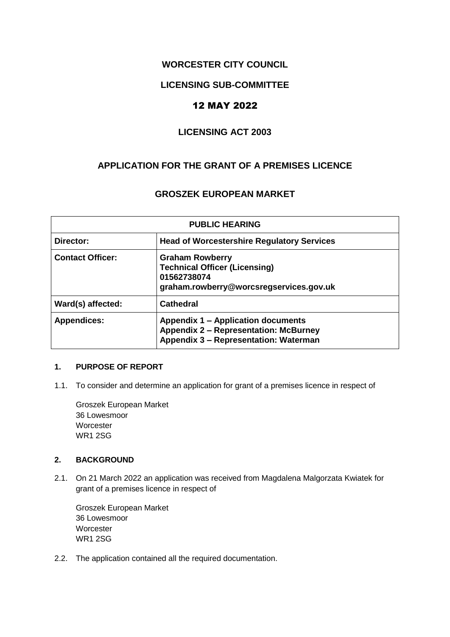## **WORCESTER CITY COUNCIL**

### **LICENSING SUB-COMMITTEE**

# 12 MAY 2022

## **LICENSING ACT 2003**

## **APPLICATION FOR THE GRANT OF A PREMISES LICENCE**

### **GROSZEK EUROPEAN MARKET**

| <b>PUBLIC HEARING</b>   |                                                                                                                             |  |  |  |
|-------------------------|-----------------------------------------------------------------------------------------------------------------------------|--|--|--|
| Director:               | <b>Head of Worcestershire Regulatory Services</b>                                                                           |  |  |  |
| <b>Contact Officer:</b> | <b>Graham Rowberry</b><br><b>Technical Officer (Licensing)</b><br>01562738074<br>graham.rowberry@worcsregservices.gov.uk    |  |  |  |
| Ward(s) affected:       | <b>Cathedral</b>                                                                                                            |  |  |  |
| <b>Appendices:</b>      | Appendix 1 – Application documents<br><b>Appendix 2 - Representation: McBurney</b><br>Appendix 3 - Representation: Waterman |  |  |  |

#### **1. PURPOSE OF REPORT**

1.1. To consider and determine an application for grant of a premises licence in respect of

Groszek European Market 36 Lowesmoor **Worcester** WR1 2SG

#### **2. BACKGROUND**

2.1. On 21 March 2022 an application was received from Magdalena Malgorzata Kwiatek for grant of a premises licence in respect of

Groszek European Market 36 Lowesmoor **Worcester** WR1 2SG

2.2. The application contained all the required documentation.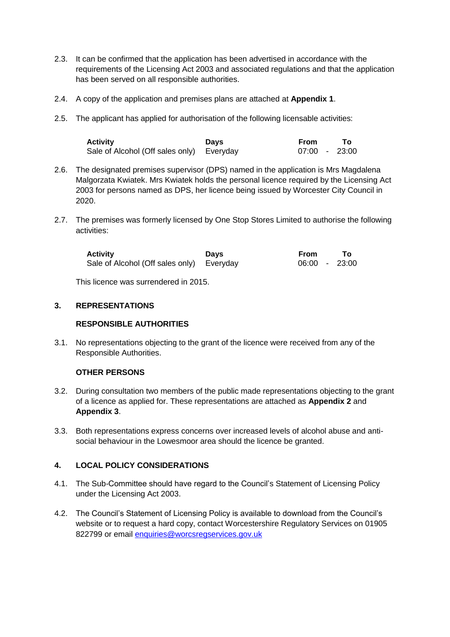- 2.3. It can be confirmed that the application has been advertised in accordance with the requirements of the Licensing Act 2003 and associated regulations and that the application has been served on all responsible authorities.
- 2.4. A copy of the application and premises plans are attached at **Appendix 1**.
- 2.5. The applicant has applied for authorisation of the following licensable activities:

| <b>Activity</b>                           | Davs | From          |  |
|-------------------------------------------|------|---------------|--|
| Sale of Alcohol (Off sales only) Everyday |      | 07:00 - 23:00 |  |

- 2.6. The designated premises supervisor (DPS) named in the application is Mrs Magdalena Malgorzata Kwiatek. Mrs Kwiatek holds the personal licence required by the Licensing Act 2003 for persons named as DPS, her licence being issued by Worcester City Council in 2020.
- 2.7. The premises was formerly licensed by One Stop Stores Limited to authorise the following activities:

| <b>Activity</b>                           | <b>Davs</b> | From          | Т٥ |
|-------------------------------------------|-------------|---------------|----|
| Sale of Alcohol (Off sales only) Everyday |             | 06:00 - 23:00 |    |

This licence was surrendered in 2015.

#### **3. REPRESENTATIONS**

#### **RESPONSIBLE AUTHORITIES**

3.1. No representations objecting to the grant of the licence were received from any of the Responsible Authorities.

#### **OTHER PERSONS**

- 3.2. During consultation two members of the public made representations objecting to the grant of a licence as applied for. These representations are attached as **Appendix 2** and **Appendix 3**.
- 3.3. Both representations express concerns over increased levels of alcohol abuse and antisocial behaviour in the Lowesmoor area should the licence be granted.

#### **4. LOCAL POLICY CONSIDERATIONS**

- 4.1. The Sub-Committee should have regard to the Council's Statement of Licensing Policy under the Licensing Act 2003.
- 4.2. The Council's Statement of Licensing Policy is available to download from the Council's website or to request a hard copy, contact Worcestershire Regulatory Services on 01905 822799 or email [enquiries@worcsregservices.gov.uk](mailto:wrsenquiries@worcsregservices.gov.uk)